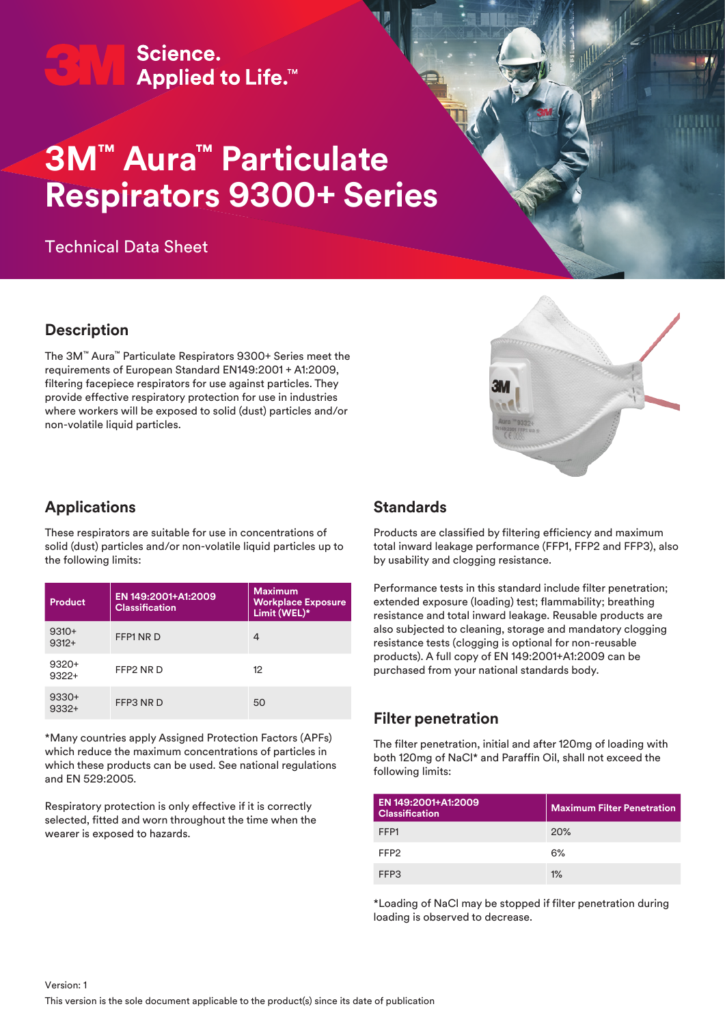**3M™ Personal Safety Division** | **3M™ Aura™ Particulate Respirators 9300+ Series** Applied to Life.<sup>™</sup>

# **3M™ Aura™ Particulate Respirators 9300+ Series**

Technical Data Sheet

#### **Description**

The 3M™ Aura™ Particulate Respirators 9300+ Series meet the requirements of European Standard EN149:2001 + A1:2009, filtering facepiece respirators for use against particles. They provide effective respiratory protection for use in industries where workers will be exposed to solid (dust) particles and/or non-volatile liquid particles.



#### **Applications**

These respirators are suitable for use in concentrations of solid (dust) particles and/or non-volatile liquid particles up to the following limits:

| Product            | EN 149:2001+A1:2009<br><b>Classification</b> | <b>Maximum</b><br><b>Workplace Exposure</b><br>Limit (WEL)* |
|--------------------|----------------------------------------------|-------------------------------------------------------------|
| $9310+$<br>$9312+$ | FFP1 NR D                                    | 4                                                           |
| $9320+$<br>$9322+$ | FFP2 NR D                                    | 12                                                          |
| $9330+$<br>$9332+$ | FFP3 NR D                                    | 50                                                          |

\*Many countries apply Assigned Protection Factors (APFs) which reduce the maximum concentrations of particles in which these products can be used. See national regulations and EN 529:2005.

Respiratory protection is only effective if it is correctly selected, fitted and worn throughout the time when the wearer is exposed to hazards.

#### **Standards**

Products are classified by filtering efficiency and maximum total inward leakage performance (FFP1, FFP2 and FFP3), also by usability and clogging resistance.

Performance tests in this standard include filter penetration; extended exposure (loading) test; flammability; breathing resistance and total inward leakage. Reusable products are also subjected to cleaning, storage and mandatory clogging resistance tests (clogging is optional for non-reusable products). A full copy of EN 149:2001+A1:2009 can be purchased from your national standards body.

#### **Filter penetration**

The filter penetration, initial and after 120mg of loading with both 120mg of NaCl\* and Paraffin Oil, shall not exceed the following limits:

| EN 149:2001+A1:2009<br><b>Classification</b> | <b>Maximum Filter Penetration</b> |
|----------------------------------------------|-----------------------------------|
| FFP1                                         | 20%                               |
| FFP <sub>2</sub>                             | 6%                                |
| FFP3                                         | $1\%$                             |

\*Loading of NaCl may be stopped if filter penetration during loading is observed to decrease.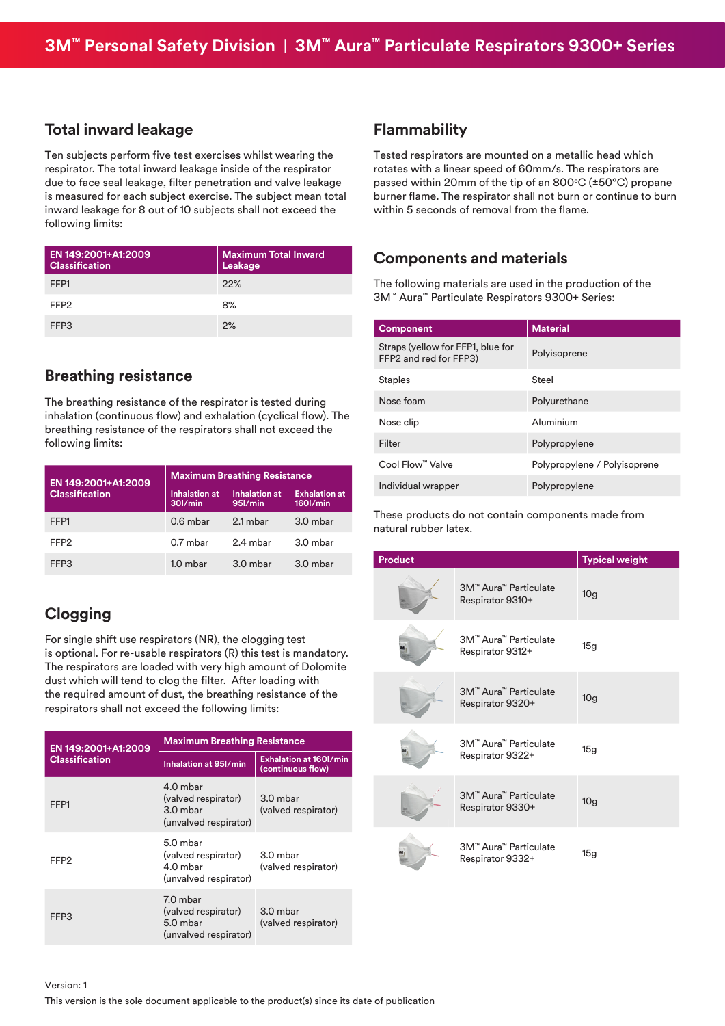#### **Total inward leakage**

Ten subjects perform five test exercises whilst wearing the respirator. The total inward leakage inside of the respirator due to face seal leakage, filter penetration and valve leakage is measured for each subject exercise. The subject mean total inward leakage for 8 out of 10 subjects shall not exceed the following limits:

| EN 149:2001+A1:2009<br><b>Classification</b> | <b>Maximum Total Inward</b><br>Leakage |
|----------------------------------------------|----------------------------------------|
| FFP1                                         | 22%                                    |
| FFP <sub>2</sub>                             | 8%                                     |
| FFP3                                         | 2%                                     |

#### **Breathing resistance**

The breathing resistance of the respirator is tested during inhalation (continuous flow) and exhalation (cyclical flow). The breathing resistance of the respirators shall not exceed the following limits:

| EN 149:2001+A1:2009   | <b>Maximum Breathing Resistance</b> |                                 |                                     |
|-----------------------|-------------------------------------|---------------------------------|-------------------------------------|
| <b>Classification</b> | <b>Inhalation at</b><br>30l/min     | <b>Inhalation at</b><br>95l/min | <b>Exhalation at</b><br>$160$ I/min |
| FFP1                  | $0.6$ mbar                          | 2.1 mbar                        | 3.0 mbar                            |
| FFP <sub>2</sub>      | $0.7$ mbar                          | 2.4 mbar                        | 3.0 mbar                            |
| FFP3                  | $1.0$ mbar                          | $3.0$ mbar                      | 3.0 mbar                            |

## **Clogging**

For single shift use respirators (NR), the clogging test is optional. For re-usable respirators (R) this test is mandatory. The respirators are loaded with very high amount of Dolomite dust which will tend to clog the filter. After loading with the required amount of dust, the breathing resistance of the respirators shall not exceed the following limits:

| EN 149:2001+A1:2009   | <b>Maximum Breathing Resistance</b>                                    |                                                    |  |
|-----------------------|------------------------------------------------------------------------|----------------------------------------------------|--|
| <b>Classification</b> | Inhalation at 951/min                                                  | <b>Exhalation at 160l/min</b><br>(continuous flow) |  |
| FFP1                  | 4.0 mbar<br>(valved respirator)<br>$3.0$ mbar<br>(unvalved respirator) | 3.0 mbar<br>(valved respirator)                    |  |
| FFP2                  | 5.0 mbar<br>(valved respirator)<br>4.0 mbar<br>(unvalved respirator)   | 3.0 mbar<br>(valved respirator)                    |  |
| FFP3                  | 7.0 mbar<br>(valved respirator)<br>5.0 mbar<br>(unvalved respirator)   | 3.0 mbar<br>(valved respirator)                    |  |

#### **Flammability**

Tested respirators are mounted on a metallic head which rotates with a linear speed of 60mm/s. The respirators are passed within 20mm of the tip of an 800 $\degree$ C ( $\pm$ 50 $\degree$ C) propane burner flame. The respirator shall not burn or continue to burn within 5 seconds of removal from the flame.

#### **Components and materials**

The following materials are used in the production of the 3M™ Aura™ Particulate Respirators 9300+ Series:

| <b>Component</b>                                            | <b>Material</b>              |
|-------------------------------------------------------------|------------------------------|
| Straps (yellow for FFP1, blue for<br>FFP2 and red for FFP3) | Polyisoprene                 |
| <b>Staples</b>                                              | Steel                        |
| Nose foam                                                   | Polyurethane                 |
| Nose clip                                                   | Aluminium                    |
| Filter                                                      | Polypropylene                |
| Cool Flow™ Valve                                            | Polypropylene / Polyisoprene |
| Individual wrapper                                          | Polypropylene                |

These products do not contain components made from natural rubber latex.

| <b>Product</b> |                                           | <b>Typical weight</b> |
|----------------|-------------------------------------------|-----------------------|
|                | 3M™ Aura™ Particulate<br>Respirator 9310+ | 10 <sub>g</sub>       |
|                | 3M™ Aura™ Particulate<br>Respirator 9312+ | 15g                   |
|                | 3M™ Aura™ Particulate<br>Respirator 9320+ | 10 <sub>g</sub>       |
|                | 3M™ Aura™ Particulate<br>Respirator 9322+ | 15g                   |
|                | 3M™ Aura™ Particulate<br>Respirator 9330+ | 10 <sub>g</sub>       |
|                | 3M™ Aura™ Particulate<br>Respirator 9332+ | 15g                   |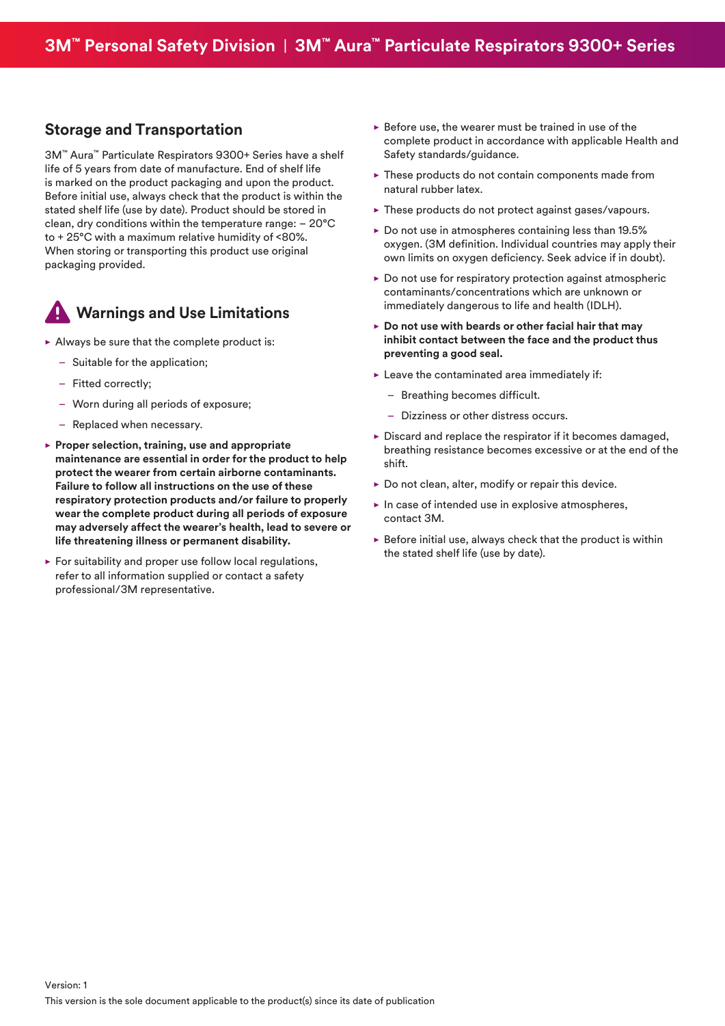#### **Storage and Transportation**

3M™ Aura™ Particulate Respirators 9300+ Series have a shelf life of 5 years from date of manufacture. End of shelf life is marked on the product packaging and upon the product. Before initial use, always check that the product is within the stated shelf life (use by date). Product should be stored in clean, dry conditions within the temperature range: – 20°C to + 25°C with a maximum relative humidity of <80%. When storing or transporting this product use original packaging provided.

# **Warnings and Use Limitations**

- $\blacktriangleright$  Always be sure that the complete product is:
	- Suitable for the application;
	- Fitted correctly;
	- Worn during all periods of exposure;
	- Replaced when necessary.
- **Proper selection, training, use and appropriate maintenance are essential in order for the product to help protect the wearer from certain airborne contaminants. Failure to follow all instructions on the use of these respiratory protection products and/or failure to properly wear the complete product during all periods of exposure may adversely affect the wearer's health, lead to severe or life threatening illness or permanent disability.**
- $\blacktriangleright$  For suitability and proper use follow local regulations, refer to all information supplied or contact a safety professional/3M representative.
- $\blacktriangleright$  Before use, the wearer must be trained in use of the complete product in accordance with applicable Health and Safety standards/guidance.
- $\blacktriangleright$  These products do not contain components made from natural rubber latex.
- $\blacktriangleright$  These products do not protect against gases/vapours.
- $\triangleright$  Do not use in atmospheres containing less than 19.5% oxygen. (3M definition. Individual countries may apply their own limits on oxygen deficiency. Seek advice if in doubt).
- $\triangleright$  Do not use for respiratory protection against atmospheric contaminants/concentrations which are unknown or immediately dangerous to life and health (IDLH).
- ▶ Do not use with beards or other facial hair that may **inhibit contact between the face and the product thus preventing a good seal.**
- $\blacktriangleright$  Leave the contaminated area immediately if:
	- Breathing becomes difficult.
	- Dizziness or other distress occurs.
- $\triangleright$  Discard and replace the respirator if it becomes damaged, breathing resistance becomes excessive or at the end of the shift.
- $\triangleright$  Do not clean, alter, modify or repair this device.
- $\blacktriangleright$  In case of intended use in explosive atmospheres, contact 3M.
- $\triangleright$  Before initial use, always check that the product is within the stated shelf life (use by date).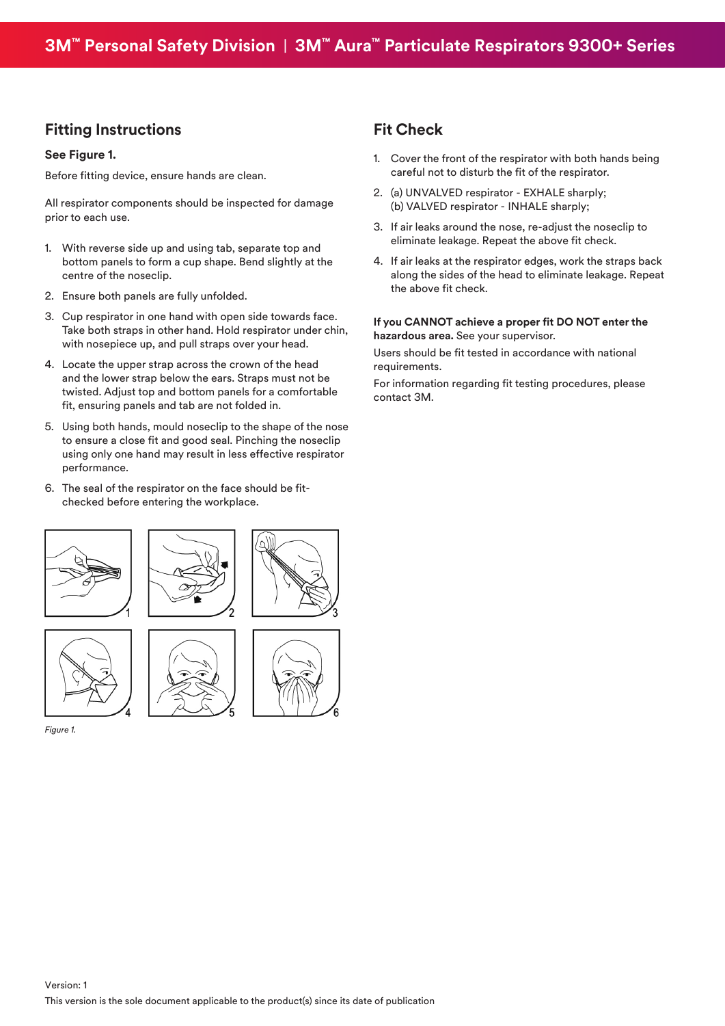#### **Fitting Instructions**

#### **See Figure 1.**

Before fitting device, ensure hands are clean.

All respirator components should be inspected for damage prior to each use.

- 1. With reverse side up and using tab, separate top and bottom panels to form a cup shape. Bend slightly at the centre of the noseclip.
- 2. Ensure both panels are fully unfolded.
- 3. Cup respirator in one hand with open side towards face. Take both straps in other hand. Hold respirator under chin, with nosepiece up, and pull straps over your head.
- 4. Locate the upper strap across the crown of the head and the lower strap below the ears. Straps must not be twisted. Adjust top and bottom panels for a comfortable fit, ensuring panels and tab are not folded in.
- 5. Using both hands, mould noseclip to the shape of the nose to ensure a close fit and good seal. Pinching the noseclip using only one hand may result in less effective respirator performance.
- 6. The seal of the respirator on the face should be fitchecked before entering the workplace.

### **Fit Check**

- 1. Cover the front of the respirator with both hands being careful not to disturb the fit of the respirator.
- 2. (a) UNVALVED respirator EXHALE sharply; (b) VALVED respirator - INHALE sharply;
- 3. If air leaks around the nose, re-adjust the noseclip to eliminate leakage. Repeat the above fit check.
- 4. If air leaks at the respirator edges, work the straps back along the sides of the head to eliminate leakage. Repeat the above fit check.

#### **If you CANNOT achieve a proper fit DO NOT enter the hazardous area.** See your supervisor.

Users should be fit tested in accordance with national requirements.

For information regarding fit testing procedures, please contact 3M.



*Figure 1.*